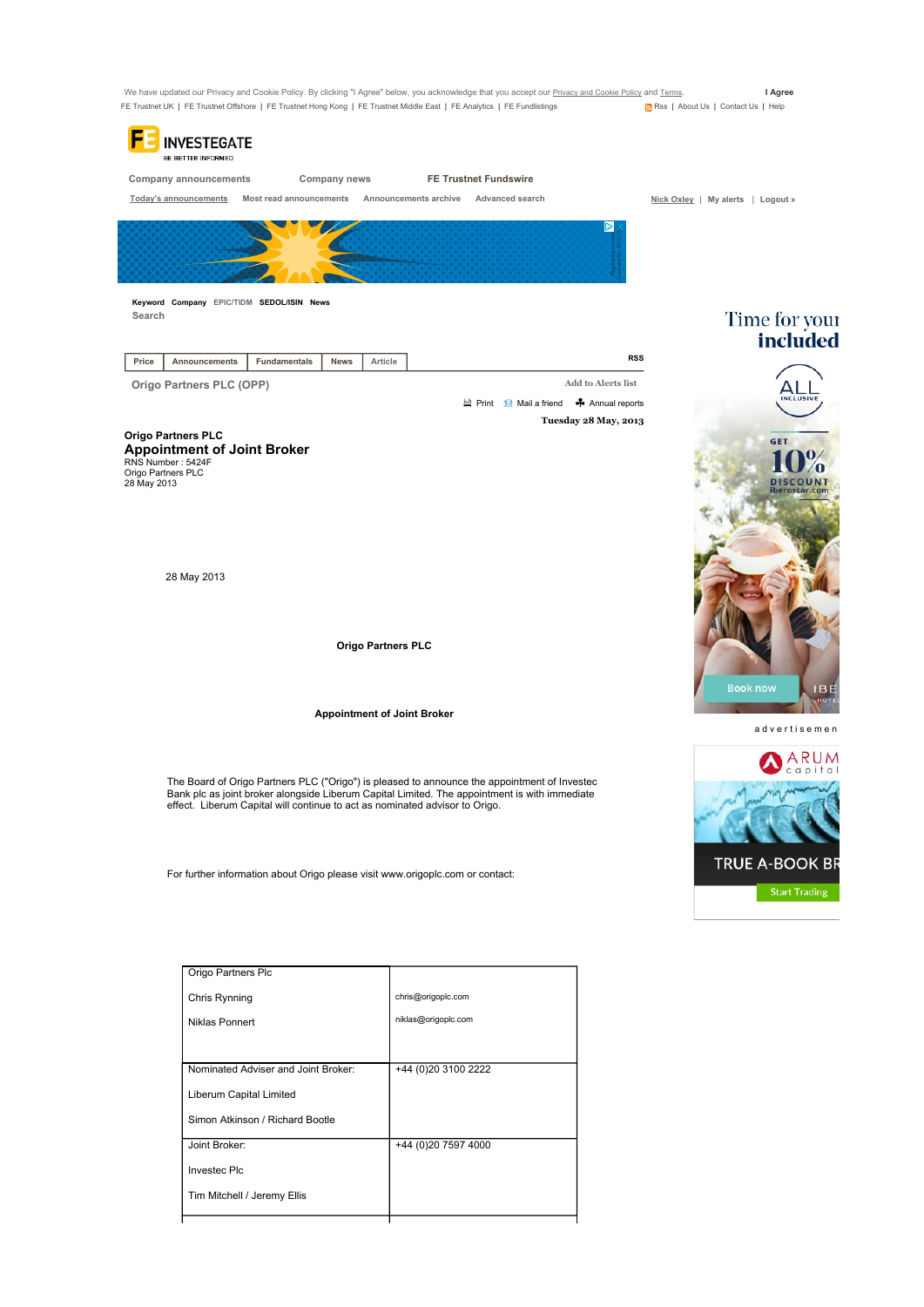